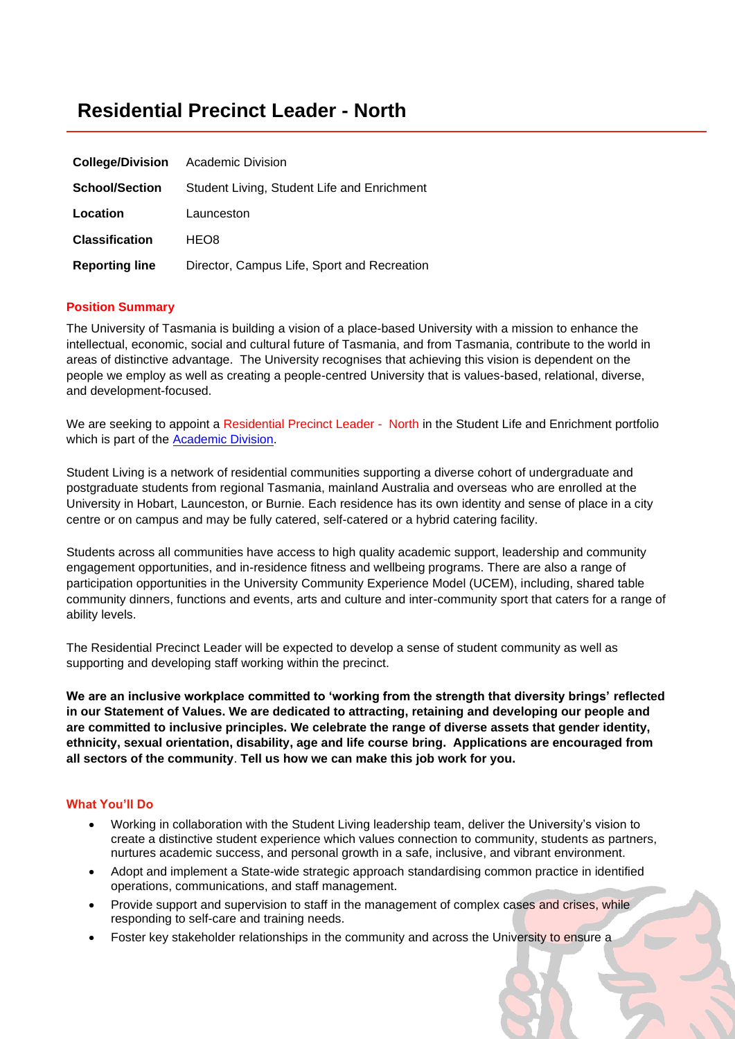# **Residential Precinct Leader - North**

| <b>College/Division</b> | <b>Academic Division</b>                    |
|-------------------------|---------------------------------------------|
| <b>School/Section</b>   | Student Living, Student Life and Enrichment |
| Location                | Launceston                                  |
| <b>Classification</b>   | HEO8                                        |
| <b>Reporting line</b>   | Director, Campus Life, Sport and Recreation |

# **Position Summary**

The University of Tasmania is building a vision of a place-based University with a mission to enhance the intellectual, economic, social and cultural future of Tasmania, and from Tasmania, contribute to the world in areas of distinctive advantage. The University recognises that achieving this vision is dependent on the people we employ as well as creating a people-centred University that is values-based, relational, diverse, and development-focused.

We are seeking to appoint a Residential Precinct Leader - North in the Student Life and Enrichment portfolio which is part of the [Academic Division.](https://www.utas.edu.au/academic-division)

Student Living is a network of residential communities supporting a diverse cohort of undergraduate and postgraduate students from regional Tasmania, mainland Australia and overseas who are enrolled at the University in Hobart, Launceston, or Burnie. Each residence has its own identity and sense of place in a city centre or on campus and may be fully catered, self-catered or a hybrid catering facility.

Students across all communities have access to high quality academic support, leadership and community engagement opportunities, and in-residence fitness and wellbeing programs. There are also a range of participation opportunities in the University Community Experience Model (UCEM), including, shared table community dinners, functions and events, arts and culture and inter-community sport that caters for a range of ability levels.

The Residential Precinct Leader will be expected to develop a sense of student community as well as supporting and developing staff working within the precinct.

**We are an inclusive workplace committed to 'working from the strength that diversity brings' reflected in our Statement of Values. We are dedicated to attracting, retaining and developing our people and are committed to inclusive principles. We celebrate the range of diverse assets that gender identity, ethnicity, sexual orientation, disability, age and life course bring. Applications are encouraged from all sectors of the community**. **Tell us how we can make this job work for you.**

# **What You'll Do**

- Working in collaboration with the Student Living leadership team, deliver the University's vision to create a distinctive student experience which values connection to community, students as partners, nurtures academic success, and personal growth in a safe, inclusive, and vibrant environment.
- Adopt and implement a State-wide strategic approach standardising common practice in identified operations, communications, and staff management.
- Provide support and supervision to staff in the management of complex cases and crises, while responding to self-care and training needs.
- Foster key stakeholder relationships in the community and across the University to ensure a